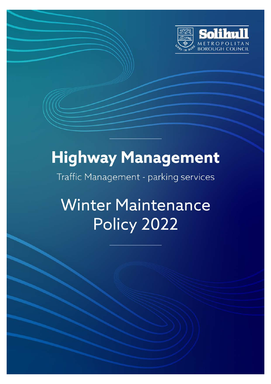

# **Highway Management**

Traffic Management - parking services

**Winter Maintenance** Policy 2022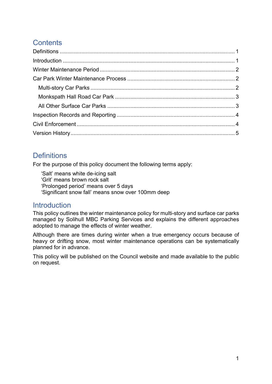## **Contents**

## **Definitions**

For the purpose of this policy document the following terms apply:

'Salt' means white de-icing salt 'Grit' means brown rock salt 'Prolonged period' means over 5 days 'Significant snow fall' means snow over 100mm deep

### **Introduction**

This policy outlines the winter maintenance policy for multi-story and surface car parks managed by Solihull MBC Parking Services and explains the different approaches adopted to manage the effects of winter weather.

Although there are times during winter when a true emergency occurs because of heavy or drifting snow, most winter maintenance operations can be systematically planned for in advance.

This policy will be published on the Council website and made available to the public on request.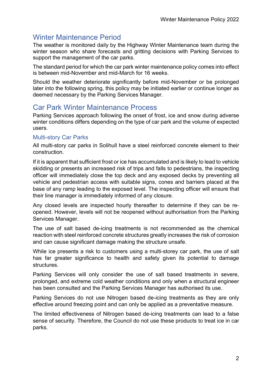## Winter Maintenance Period

The weather is monitored daily by the Highway Winter Maintenance team during the winter season who share forecasts and gritting decisions with Parking Services to support the management of the car parks.

The standard period for which the car park winter maintenance policy comes into effect is between mid-November and mid-March for 16 weeks.

Should the weather deteriorate significantly before mid-November or be prolonged later into the following spring, this policy may be initiated earlier or continue longer as deemed necessary by the Parking Services Manager.

## Car Park Winter Maintenance Process

Parking Services approach following the onset of frost, ice and snow during adverse winter conditions differs depending on the type of car park and the volume of expected users.

#### Multi-story Car Parks

All multi-story car parks in Solihull have a steel reinforced concrete element to their construction.

If it is apparent that sufficient frost or ice has accumulated and is likely to lead to vehicle skidding or presents an increased risk of trips and falls to pedestrians, the inspecting officer will immediately close the top deck and any exposed decks by preventing all vehicle and pedestrian access with suitable signs, cones and barriers placed at the base of any ramp leading to the exposed level. The inspecting officer will ensure that their line manager is immediately informed of any closure.

Any closed levels are inspected hourly thereafter to determine if they can be reopened. However, levels will not be reopened without authorisation from the Parking Services Manager.

The use of salt based de-icing treatments is not recommended as the chemical reaction with steel reinforced concrete structures greatly increases the risk of corrosion and can cause significant damage making the structure unsafe.

While ice presents a risk to customers using a multi-storey car park, the use of salt has far greater significance to health and safety given its potential to damage structures.

Parking Services will only consider the use of salt based treatments in severe, prolonged, and extreme cold weather conditions and only when a structural engineer has been consulted and the Parking Services Manager has authorised its use.

Parking Services do not use Nitrogen based de-icing treatments as they are only effective around freezing point and can only be applied as a preventative measure.

The limited effectiveness of Nitrogen based de-icing treatments can lead to a false sense of security. Therefore, the Council do not use these products to treat ice in car parks.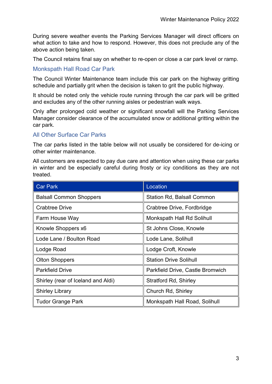During severe weather events the Parking Services Manager will direct officers on what action to take and how to respond. However, this does not preclude any of the above action being taken.

The Council retains final say on whether to re-open or close a car park level or ramp.

#### Monkspath Hall Road Car Park

The Council Winter Maintenance team include this car park on the highway gritting schedule and partially grit when the decision is taken to grit the public highway.

It should be noted only the vehicle route running through the car park will be gritted and excludes any of the other running aisles or pedestrian walk ways.

Only after prolonged cold weather or significant snowfall will the Parking Services Manager consider clearance of the accumulated snow or additional gritting within the car park.

#### All Other Surface Car Parks

The car parks listed in the table below will not usually be considered for de-icing or other winter maintenance.

All customers are expected to pay due care and attention when using these car parks in winter and be especially careful during frosty or icy conditions as they are not treated.

| <b>Car Park</b>                    | Location                          |  |
|------------------------------------|-----------------------------------|--|
| <b>Balsall Common Shoppers</b>     | <b>Station Rd, Balsall Common</b> |  |
| <b>Crabtree Drive</b>              | Crabtree Drive, Fordbridge        |  |
| Farm House Way                     | Monkspath Hall Rd Solihull        |  |
| Knowle Shoppers x6                 | St Johns Close, Knowle            |  |
| Lode Lane / Boulton Road           | Lode Lane, Solihull               |  |
| Lodge Road                         | Lodge Croft, Knowle               |  |
| <b>Olton Shoppers</b>              | <b>Station Drive Solihull</b>     |  |
| <b>Parkfield Drive</b>             | Parkfield Drive, Castle Bromwich  |  |
| Shirley (rear of Iceland and Aldi) | Stratford Rd, Shirley             |  |
| <b>Shirley Library</b>             | Church Rd, Shirley                |  |
| <b>Tudor Grange Park</b>           | Monkspath Hall Road, Solihull     |  |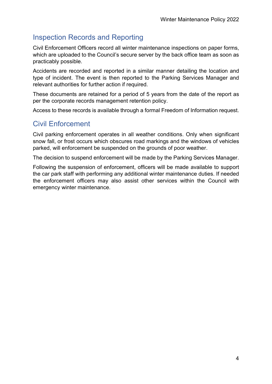## Inspection Records and Reporting

Civil Enforcement Officers record all winter maintenance inspections on paper forms, which are uploaded to the Council's secure server by the back office team as soon as practicably possible.

Accidents are recorded and reported in a similar manner detailing the location and type of incident. The event is then reported to the Parking Services Manager and relevant authorities for further action if required.

These documents are retained for a period of 5 years from the date of the report as per the corporate records management retention policy.

Access to these records is available through a formal Freedom of Information request.

## Civil Enforcement

Civil parking enforcement operates in all weather conditions. Only when significant snow fall, or frost occurs which obscures road markings and the windows of vehicles parked, will enforcement be suspended on the grounds of poor weather.

The decision to suspend enforcement will be made by the Parking Services Manager.

Following the suspension of enforcement, officers will be made available to support the car park staff with performing any additional winter maintenance duties. If needed the enforcement officers may also assist other services within the Council with emergency winter maintenance.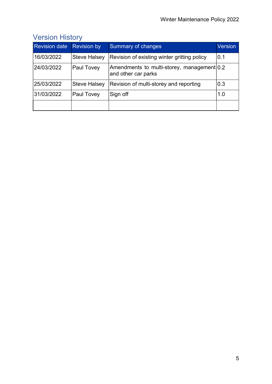| <b>Revision date</b> | <b>Revision by</b>  | <b>Summary of changes</b>                                         | Version |
|----------------------|---------------------|-------------------------------------------------------------------|---------|
| 16/03/2022           | <b>Steve Halsey</b> | Revision of existing winter gritting policy                       | 0.1     |
| 24/03/2022           | <b>Paul Tovey</b>   | Amendments to multi-storey, management 0.2<br>and other car parks |         |
| 25/03/2022           | <b>Steve Halsey</b> | Revision of multi-storey and reporting                            | 0.3     |
| 31/03/2022           | <b>Paul Tovey</b>   | Sign off                                                          | 1.0     |
|                      |                     |                                                                   |         |

# Version History